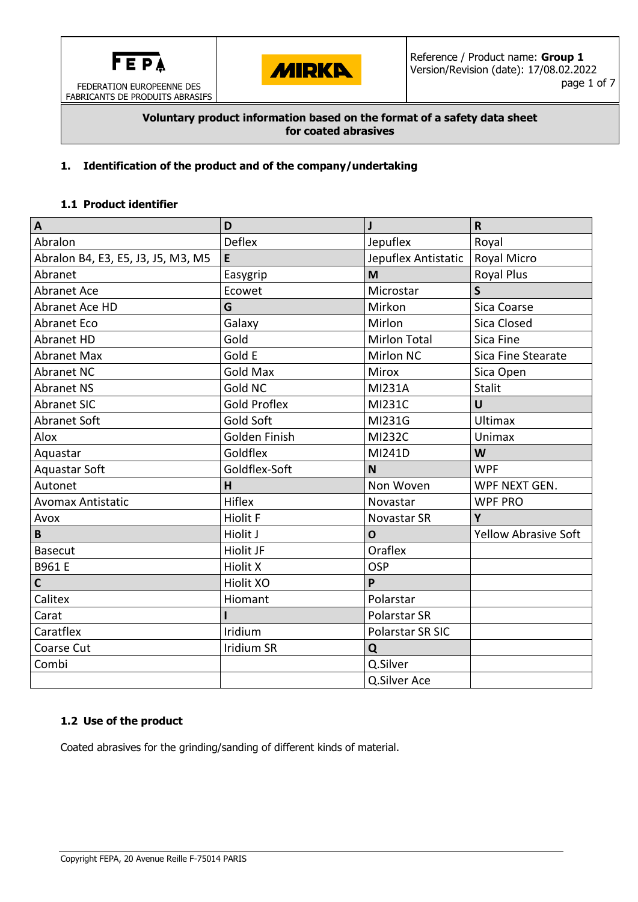

FABRICANTS DE PRODUITS ABRASIFS

**MIRKA** 

### **Voluntary product information based on the format of a safety data sheet for coated abrasives**

# **1. Identification of the product and of the company/undertaking**

## **1.1 Product identifier**

| $\overline{\mathsf{A}}$            | D                   | $\mathbf{J}$        | $\mathsf{R}$                |  |
|------------------------------------|---------------------|---------------------|-----------------------------|--|
| Abralon                            | <b>Deflex</b>       | Jepuflex            | Royal                       |  |
| Abralon B4, E3, E5, J3, J5, M3, M5 | E                   | Jepuflex Antistatic | Royal Micro                 |  |
| Abranet                            | Easygrip            | M                   | <b>Royal Plus</b>           |  |
| <b>Abranet Ace</b>                 | Ecowet              | Microstar           | $\mathsf{S}$                |  |
| Abranet Ace HD                     | G                   | Mirkon              | Sica Coarse                 |  |
| <b>Abranet Eco</b>                 | Galaxy              | Mirlon              | Sica Closed                 |  |
| <b>Abranet HD</b>                  | Gold                | <b>Mirlon Total</b> | Sica Fine                   |  |
| <b>Abranet Max</b>                 | Gold E              | <b>Mirlon NC</b>    | Sica Fine Stearate          |  |
| <b>Abranet NC</b>                  | <b>Gold Max</b>     | <b>Mirox</b>        | Sica Open                   |  |
| <b>Abranet NS</b>                  | Gold NC             | <b>MI231A</b>       | <b>Stalit</b>               |  |
| <b>Abranet SIC</b>                 | <b>Gold Proflex</b> | MI231C              | U                           |  |
| <b>Abranet Soft</b>                | <b>Gold Soft</b>    | MI231G              | <b>Ultimax</b>              |  |
| Alox                               | Golden Finish       | <b>MI232C</b>       | Unimax                      |  |
| Aquastar                           | Goldflex            | MI241D              | W                           |  |
| <b>Aquastar Soft</b>               | Goldflex-Soft       | N                   | <b>WPF</b>                  |  |
| Autonet                            | H                   | Non Woven           | WPF NEXT GEN.               |  |
| <b>Avomax Antistatic</b>           | <b>Hiflex</b>       | Novastar            | <b>WPF PRO</b>              |  |
| Avox                               | <b>Hiolit F</b>     | Novastar SR         | Y                           |  |
| B                                  | Hiolit J            | $\mathbf 0$         | <b>Yellow Abrasive Soft</b> |  |
| <b>Basecut</b>                     | Hiolit JF           | Oraflex             |                             |  |
| B961 E                             | <b>Hiolit X</b>     | <b>OSP</b>          |                             |  |
| $\mathsf{C}$                       | <b>Hiolit XO</b>    | P                   |                             |  |
| Calitex                            | Hiomant             | Polarstar           |                             |  |
| Carat                              |                     | Polarstar SR        |                             |  |
| Caratflex                          | Iridium             | Polarstar SR SIC    |                             |  |
| Coarse Cut                         | <b>Iridium SR</b>   | Q                   |                             |  |
| Combi                              |                     | Q.Silver            |                             |  |
|                                    |                     | Q.Silver Ace        |                             |  |

# **1.2 Use of the product**

Coated abrasives for the grinding/sanding of different kinds of material.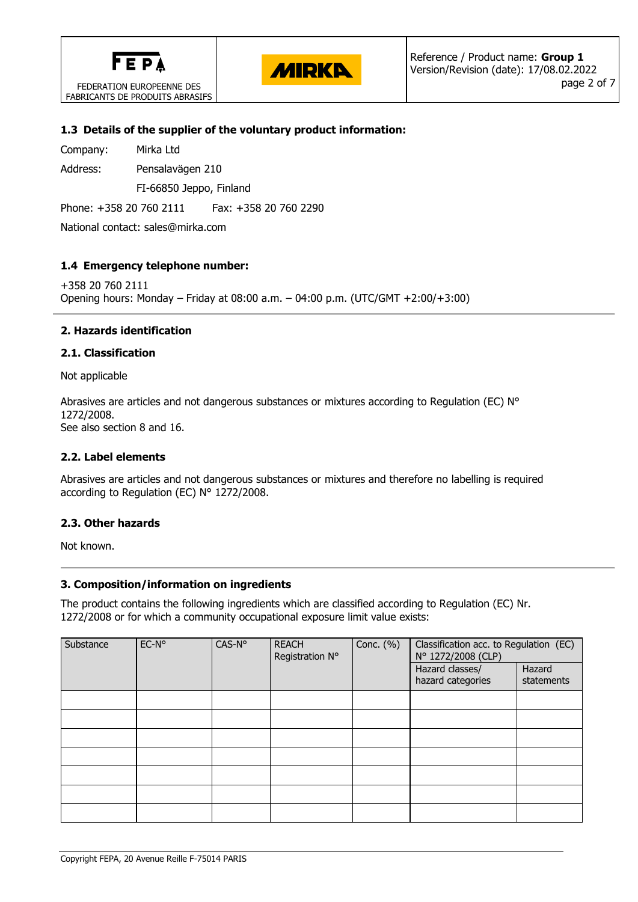

FABRICANTS DE PRODUITS ABRASIFS

**MIRKA** 

### **1.3 Details of the supplier of the voluntary product information:**

Company: Mirka Ltd

Address: Pensalavägen 210

FI-66850 Jeppo, Finland

Phone: +358 20 760 2111 Fax: +358 20 760 2290

National contact: sales@mirka.com

## **1.4 Emergency telephone number:**

+358 20 760 2111 Opening hours: Monday – Friday at 08:00 a.m. – 04:00 p.m. (UTC/GMT +2:00/+3:00)

## **2. Hazards identification**

### **2.1. Classification**

Not applicable

Abrasives are articles and not dangerous substances or mixtures according to Regulation (EC) N° 1272/2008. See also section 8 and 16.

### **2.2. Label elements**

Abrasives are articles and not dangerous substances or mixtures and therefore no labelling is required according to Regulation (EC) N° 1272/2008.

### **2.3. Other hazards**

Not known.

### **3. Composition/information on ingredients**

The product contains the following ingredients which are classified according to Regulation (EC) Nr. 1272/2008 or for which a community occupational exposure limit value exists:

| Substance | EC-N° | CAS-N° | <b>REACH</b><br>Registration N° | Conc. $(\%)$ | Classification acc. to Regulation (EC)<br>N° 1272/2008 (CLP) |                      |
|-----------|-------|--------|---------------------------------|--------------|--------------------------------------------------------------|----------------------|
|           |       |        |                                 |              | Hazard classes/<br>hazard categories                         | Hazard<br>statements |
|           |       |        |                                 |              |                                                              |                      |
|           |       |        |                                 |              |                                                              |                      |
|           |       |        |                                 |              |                                                              |                      |
|           |       |        |                                 |              |                                                              |                      |
|           |       |        |                                 |              |                                                              |                      |
|           |       |        |                                 |              |                                                              |                      |
|           |       |        |                                 |              |                                                              |                      |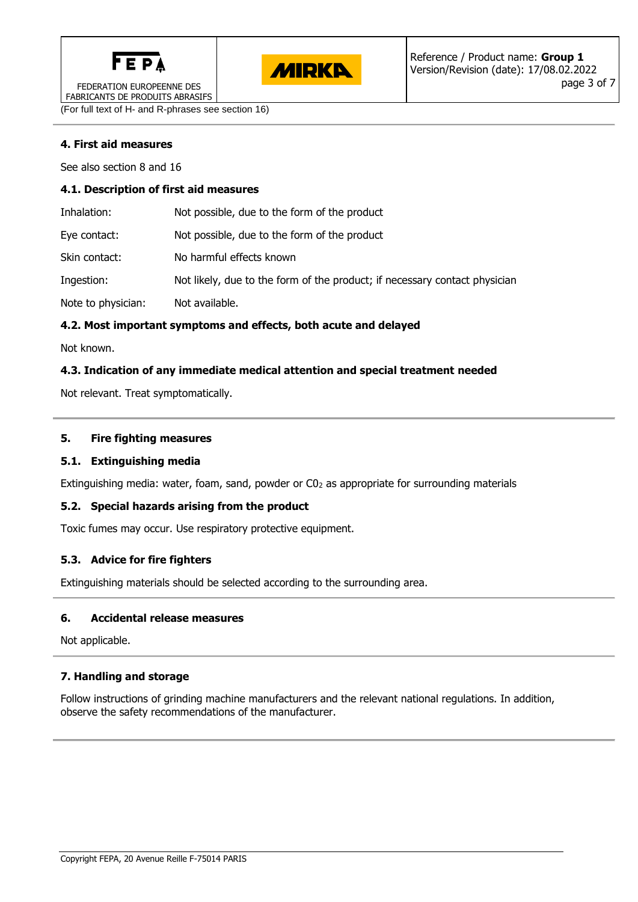



FEDERATION EUROPEENNE DES FABRICANTS DE PRODUITS ABRASIFS

(For full text of H- and R-phrases see section 16)

# **4. First aid measures**

See also section 8 and 16

#### **4.1. Description of first aid measures**

| Inhalation:        | Not possible, due to the form of the product                               |
|--------------------|----------------------------------------------------------------------------|
| Eye contact:       | Not possible, due to the form of the product                               |
| Skin contact:      | No harmful effects known                                                   |
| Ingestion:         | Not likely, due to the form of the product; if necessary contact physician |
| Note to physician: | Not available.                                                             |

## **4.2. Most important symptoms and effects, both acute and delayed**

Not known.

## **4.3. Indication of any immediate medical attention and special treatment needed**

Not relevant. Treat symptomatically.

### **5. Fire fighting measures**

### **5.1. Extinguishing media**

Extinguishing media: water, foam, sand, powder or  $CO<sub>2</sub>$  as appropriate for surrounding materials

### **5.2. Special hazards arising from the product**

Toxic fumes may occur. Use respiratory protective equipment.

### **5.3. Advice for fire fighters**

Extinguishing materials should be selected according to the surrounding area.

### **6. Accidental release measures**

Not applicable.

# **7. Handling and storage**

Follow instructions of grinding machine manufacturers and the relevant national regulations. In addition, observe the safety recommendations of the manufacturer.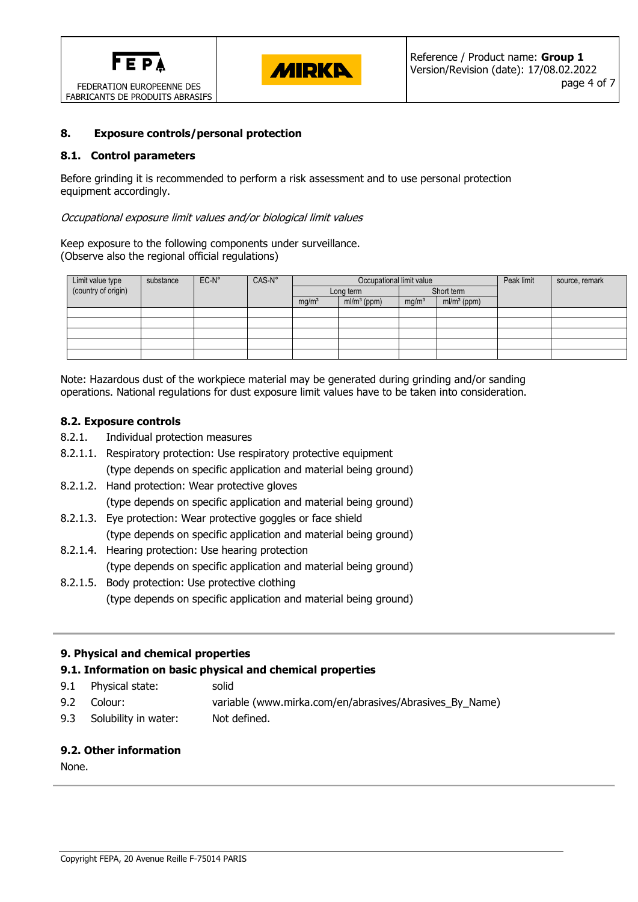



### **8. Exposure controls/personal protection**

### **8.1. Control parameters**

Before grinding it is recommended to perform a risk assessment and to use personal protection equipment accordingly.

#### Occupational exposure limit values and/or biological limit values

Keep exposure to the following components under surveillance. (Observe also the regional official regulations)

| Limit value type    | substance | $EC-N^{\circ}$ | CAS-N° | Occupational limit value |               |                   |               | Peak limit | source, remark |
|---------------------|-----------|----------------|--------|--------------------------|---------------|-------------------|---------------|------------|----------------|
| (country of origin) |           |                |        | Long term                |               | Short term        |               |            |                |
|                     |           |                |        | mg/m <sup>3</sup>        | $ml/m3$ (ppm) | mg/m <sup>3</sup> | $ml/m3$ (ppm) |            |                |
|                     |           |                |        |                          |               |                   |               |            |                |
|                     |           |                |        |                          |               |                   |               |            |                |
|                     |           |                |        |                          |               |                   |               |            |                |
|                     |           |                |        |                          |               |                   |               |            |                |
|                     |           |                |        |                          |               |                   |               |            |                |

Note: Hazardous dust of the workpiece material may be generated during grinding and/or sanding operations. National regulations for dust exposure limit values have to be taken into consideration.

#### **8.2. Exposure controls**

- 8.2.1. Individual protection measures
- 8.2.1.1. Respiratory protection: Use respiratory protective equipment (type depends on specific application and material being ground)
- 8.2.1.2. Hand protection: Wear protective gloves (type depends on specific application and material being ground)
- 8.2.1.3. Eye protection: Wear protective goggles or face shield (type depends on specific application and material being ground)
- 8.2.1.4. Hearing protection: Use hearing protection (type depends on specific application and material being ground)
- 8.2.1.5. Body protection: Use protective clothing (type depends on specific application and material being ground)

### **9. Physical and chemical properties**

### **9.1. Information on basic physical and chemical properties**

- 9.1 Physical state: solid
- 9.2 Colour: variable (www.mirka.com/en/abrasives/Abrasives\_By\_Name)
- 9.3 Solubility in water: Not defined.

### **9.2. Other information**

None.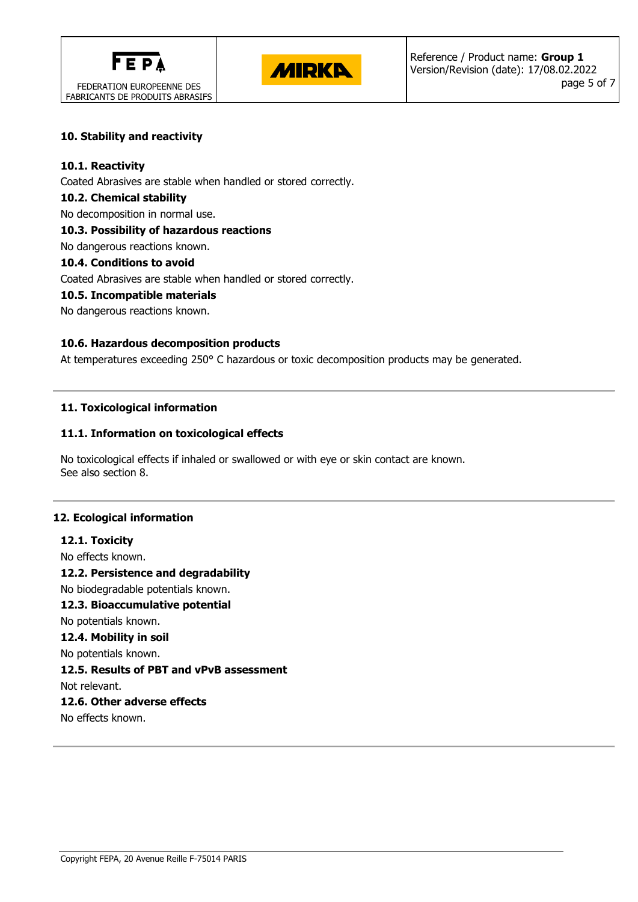



## **10. Stability and reactivity**

### **10.1. Reactivity**

Coated Abrasives are stable when handled or stored correctly.

### **10.2. Chemical stability**

No decomposition in normal use.

# **10.3. Possibility of hazardous reactions**

No dangerous reactions known.

## **10.4. Conditions to avoid**

Coated Abrasives are stable when handled or stored correctly.

## **10.5. Incompatible materials**

No dangerous reactions known.

## **10.6. Hazardous decomposition products**

At temperatures exceeding 250° C hazardous or toxic decomposition products may be generated.

# **11. Toxicological information**

## **11.1. Information on toxicological effects**

No toxicological effects if inhaled or swallowed or with eye or skin contact are known. See also section 8.

### **12. Ecological information**

**12.1. Toxicity** No effects known. **12.2. Persistence and degradability** No biodegradable potentials known. **12.3. Bioaccumulative potential** No potentials known. **12.4. Mobility in soil** No potentials known. **12.5. Results of PBT and vPvB assessment** Not relevant. **12.6. Other adverse effects**

No effects known.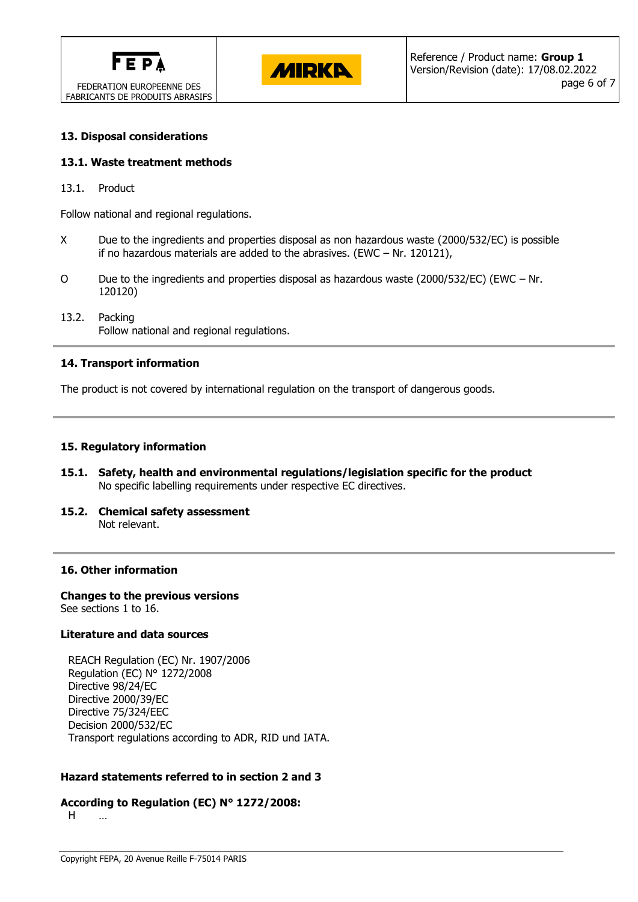



### **13. Disposal considerations**

#### **13.1. Waste treatment methods**

13.1. Product

Follow national and regional regulations.

- X Due to the ingredients and properties disposal as non hazardous waste (2000/532/EC) is possible if no hazardous materials are added to the abrasives. (EWC – Nr. 120121),
- O Due to the ingredients and properties disposal as hazardous waste (2000/532/EC) (EWC Nr. 120120)
- 13.2. Packing Follow national and regional regulations.

#### **14. Transport information**

The product is not covered by international regulation on the transport of dangerous goods.

#### **15. Regulatory information**

- **15.1. Safety, health and environmental regulations/legislation specific for the product** No specific labelling requirements under respective EC directives.
- **15.2. Chemical safety assessment** Not relevant.

#### **16. Other information**

**Changes to the previous versions** See sections 1 to 16.

#### **Literature and data sources**

REACH Regulation (EC) Nr. 1907/2006 Regulation (EC) N° 1272/2008 Directive 98/24/EC Directive 2000/39/EC Directive 75/324/EEC Decision 2000/532/EC Transport regulations according to ADR, RID und IATA.

### **Hazard statements referred to in section 2 and 3**

#### **According to Regulation (EC) N° 1272/2008:**

H …